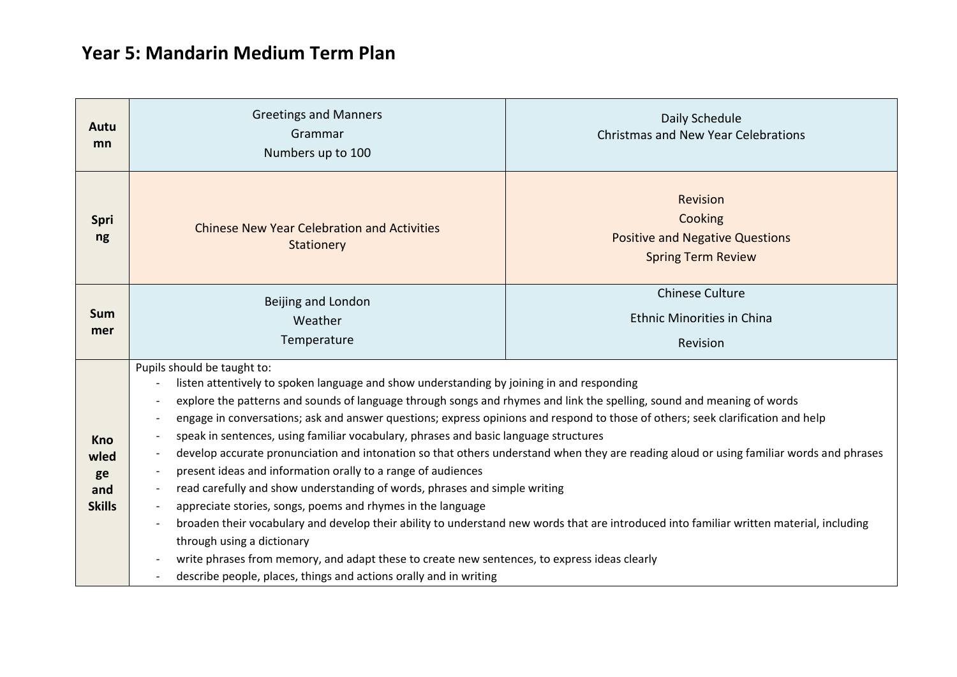## **Year 5: Mandarin Medium Term Plan**

| Autu<br>mn                                       | <b>Greetings and Manners</b><br>Grammar<br>Numbers up to 100                                                                                                                                                                                                                                                                                                                                                                                                                                                                                                                                                                                                                                                                                                                                                                                                                                                                                                                                                                                                                                                                                                                                                                                                                                         | Daily Schedule<br><b>Christmas and New Year Celebrations</b>                                      |
|--------------------------------------------------|------------------------------------------------------------------------------------------------------------------------------------------------------------------------------------------------------------------------------------------------------------------------------------------------------------------------------------------------------------------------------------------------------------------------------------------------------------------------------------------------------------------------------------------------------------------------------------------------------------------------------------------------------------------------------------------------------------------------------------------------------------------------------------------------------------------------------------------------------------------------------------------------------------------------------------------------------------------------------------------------------------------------------------------------------------------------------------------------------------------------------------------------------------------------------------------------------------------------------------------------------------------------------------------------------|---------------------------------------------------------------------------------------------------|
| <b>Spri</b><br>ng                                | <b>Chinese New Year Celebration and Activities</b><br>Stationery                                                                                                                                                                                                                                                                                                                                                                                                                                                                                                                                                                                                                                                                                                                                                                                                                                                                                                                                                                                                                                                                                                                                                                                                                                     | <b>Revision</b><br>Cooking<br><b>Positive and Negative Questions</b><br><b>Spring Term Review</b> |
| Sum<br>mer                                       | Beijing and London<br>Weather<br>Temperature                                                                                                                                                                                                                                                                                                                                                                                                                                                                                                                                                                                                                                                                                                                                                                                                                                                                                                                                                                                                                                                                                                                                                                                                                                                         | <b>Chinese Culture</b><br><b>Ethnic Minorities in China</b><br>Revision                           |
| <b>Kno</b><br>wled<br>ge<br>and<br><b>Skills</b> | Pupils should be taught to:<br>listen attentively to spoken language and show understanding by joining in and responding<br>explore the patterns and sounds of language through songs and rhymes and link the spelling, sound and meaning of words<br>$\overline{\phantom{a}}$<br>engage in conversations; ask and answer questions; express opinions and respond to those of others; seek clarification and help<br>speak in sentences, using familiar vocabulary, phrases and basic language structures<br>$\overline{\phantom{a}}$<br>develop accurate pronunciation and intonation so that others understand when they are reading aloud or using familiar words and phrases<br>$\overline{\phantom{a}}$<br>present ideas and information orally to a range of audiences<br>read carefully and show understanding of words, phrases and simple writing<br>$\overline{\phantom{a}}$<br>appreciate stories, songs, poems and rhymes in the language<br>broaden their vocabulary and develop their ability to understand new words that are introduced into familiar written material, including<br>through using a dictionary<br>write phrases from memory, and adapt these to create new sentences, to express ideas clearly<br>describe people, places, things and actions orally and in writing |                                                                                                   |